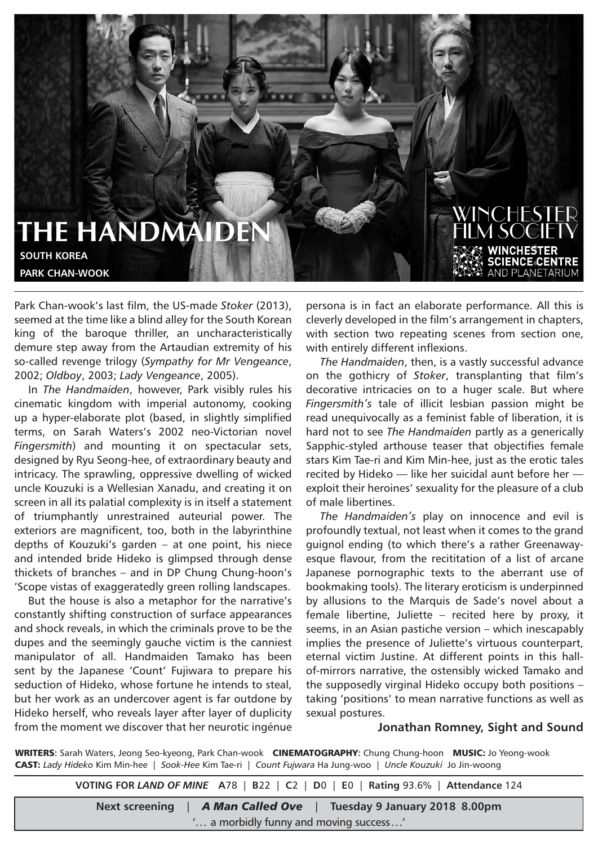## **THE HANDMAIDEN SOUTH KOREA PARK CHAN-WOOK**

Park Chan-wook's last film, the US-made *Stoker* (2013), seemed at the time like a blind alley for the South Korean king of the baroque thriller, an uncharacteristically demure step away from the Artaudian extremity of his so-called revenge trilogy (*Sympathy for Mr Vengeance*, 2002; *Oldboy*, 2003; *Lady Vengeance*, 2005).

In *The Handmaiden*, however, Park visibly rules his cinematic kingdom with imperial autonomy, cooking up a hyper-elaborate plot (based, in slightly simplified terms, on Sarah Waters's 2002 neo-Victorian novel *Fingersmith*) and mounting it on spectacular sets, designed by Ryu Seong-hee, of extraordinary beauty and intricacy. The sprawling, oppressive dwelling of wicked uncle Kouzuki is a Wellesian Xanadu, and creating it on screen in all its palatial complexity is in itself a statement of triumphantly unrestrained auteurial power. The exteriors are magnificent, too, both in the labyrinthine depths of Kouzuki's garden – at one point, his niece and intended bride Hideko is glimpsed through dense thickets of branches – and in DP Chung Chung-hoon's 'Scope vistas of exaggeratedly green rolling landscapes.

But the house is also a metaphor for the narrative's constantly shifting construction of surface appearances and shock reveals, in which the criminals prove to be the dupes and the seemingly gauche victim is the canniest manipulator of all. Handmaiden Tamako has been sent by the Japanese 'Count' Fujiwara to prepare his seduction of Hideko, whose fortune he intends to steal, but her work as an undercover agent is far outdone by Hideko herself, who reveals layer after layer of duplicity from the moment we discover that her neurotic ingénue

persona is in fact an elaborate performance. All this is cleverly developed in the film's arrangement in chapters, with section two repeating scenes from section one, with entirely different inflexions.

WINCHESTE

**JCE CENTRE** PI ANFTARIUM

*The Handmaiden*, then, is a vastly successful advance on the gothicry of *Stoker*, transplanting that film's decorative intricacies on to a huger scale. But where *Fingersmith's* tale of illicit lesbian passion might be read unequivocally as a feminist fable of liberation, it is hard not to see *The Handmaiden* partly as a generically Sapphic-styled arthouse teaser that objectifies female stars Kim Tae-ri and Kim Min-hee, just as the erotic tales recited by Hideko — like her suicidal aunt before her exploit their heroines' sexuality for the pleasure of a club of male libertines.

*The Handmaiden's* play on innocence and evil is profoundly textual, not least when it comes to the grand guignol ending (to which there's a rather Greenawayesque flavour, from the recititation of a list of arcane Japanese pornographic texts to the aberrant use of bookmaking tools). The literary eroticism is underpinned by allusions to the Marquis de Sade's novel about a female libertine, Juliette – recited here by proxy, it seems, in an Asian pastiche version – which inescapably implies the presence of Juliette's virtuous counterpart, eternal victim Justine. At different points in this hallof-mirrors narrative, the ostensibly wicked Tamako and the supposedly virginal Hideko occupy both positions – taking 'positions' to mean narrative functions as well as sexual postures.

## **Jonathan Romney, Sight and Sound**

WRITERS**:** Sarah Waters, Jeong Seo-kyeong, Park Chan-wook CINEMATOGRAPHY**:** Chung Chung-hoon MUSIC: Jo Yeong-wook CAST: *Lady Hideko* Kim Min-hee | *Sook-Hee* Kim Tae-ri | *Count Fujwara* Ha Jung-woo | *Uncle Kouzuki* Jo Jin-woong

**VOTING FOR** *LAND OF MINE* **A**78 | **B**22 | **C**2 | **D**0 | **E**0 | **Rating** 93.6% | **Attendance** 124

| Next screening                        | <b>A Man Called Ove</b> | Tuesday 9 January 2018 8.00pm |
|---------------------------------------|-------------------------|-------------------------------|
| ' a morbidly funny and moving success |                         |                               |